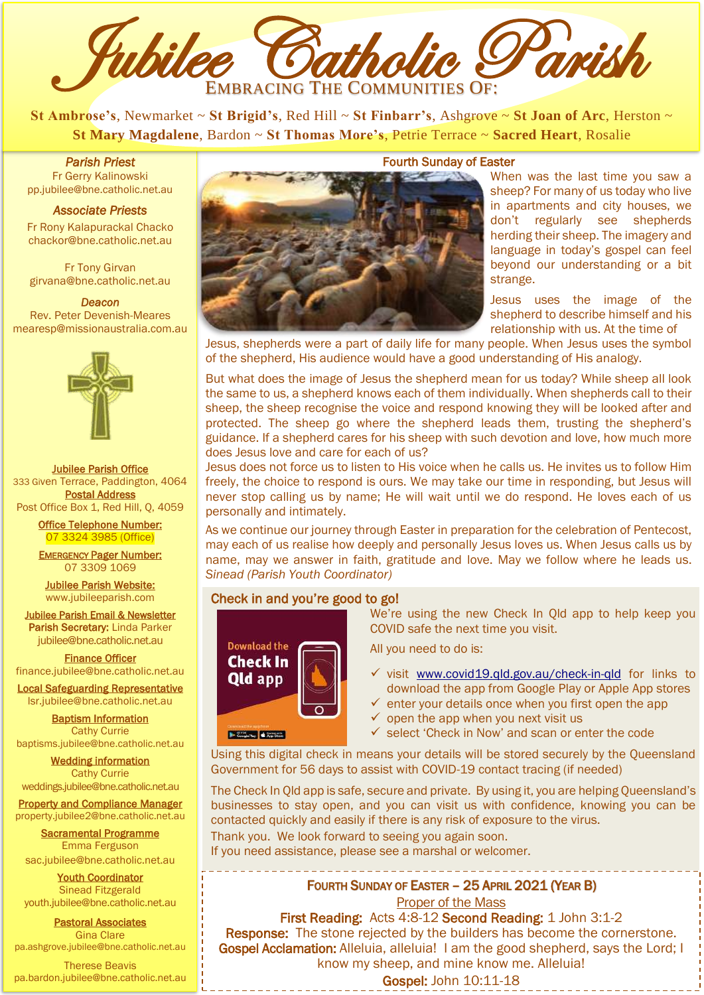

**St Ambrose's**, Newmarket ~ **St Brigid's**, Red Hill ~ **St Finbarr's**, Ashgrove ~ **St Joan of Arc**, Herston ~ **St Mary Magdalene**, Bardon ~ **St Thomas More's**, Petrie Terrace ~ **Sacred Heart**, Rosalie

*Parish Priest*  Fr Gerry Kalinowski [pp.jubilee@bne.catholic.net.au](mailto:pp.jubilee@bne.catholic.net.au)

## *Associate Priests*

Fr Rony Kalapurackal Chacko chackor@bne.catholic.net.au

Fr Tony Girvan girvana@bne.catholic.net.au

*Deacon*  Rev. Peter Devenish-Meares [mearesp@missionaustralia.com.au](mailto:mearesp@missionaustralia.com.au)



Jubilee Parish Office 333 Given Terrace, Paddington, 4064 Postal Address Post Office Box 1, Red Hill, Q, 4059

> Office Telephone Number: 07 3324 3985 (Office)

EMERGENCY Pager Number: 07 3309 1069

Jubilee Parish Website: [www.jubileeparish.com](http://www.jubileeparish.com/)

Jubilee Parish Email & Newsletter Parish Secretary: Linda Parker [jubilee@bne.catholic.net.au](mailto:jubilee@bne.catholic.net.au)

Finance Officer [finance.jubilee@bne.catholic.net.au](mailto:finance.jubilee@bne.catholic.net.au)

Local Safeguarding Representative [lsr.jubilee@bne.catholic.net.au](mailto:lsr.jubilee@bne.catholic.net.au)

Baptism Information Cathy Currie [baptisms.jubilee@bne.catholic.net.au](mailto:baptisms.jubilee@bne.catholic.net.au)

Wedding information Cathy Currie

[weddings.jubilee@bne.catholic.net.au](mailto:weddings.jubilee@bne.catholic.net.au) **Property and Compliance Manager** 

property.jubilee2@bne.catholic.net.au Sacramental Programme Emma Ferguson

[sac.jubilee@bne.catholic.net.au](mailto:sac.jubilee@bne.catholic.net.au)

Youth Coordinator Sinead Fitzgerald [youth.jubilee@bne.catholic.net.au](mailto:youth.jubilee@bne.catholic.net.au)

Pastoral Associates Gina Clare [pa.ashgrove.jubilee@bne.catholic.net.au](mailto:pa.ashgrove.jubilee@bne.catholic.net.au)

Therese Beavis pa.bardon.jubilee@bne.catholic.net.au 



### Fourth Sunday of Easter

When was the last time you saw a sheep? For many of us today who live in apartments and city houses, we don't regularly see shepherds herding their sheep. The imagery and language in today's gospel can feel beyond our understanding or a bit strange.

Jesus uses the image of the shepherd to describe himself and his relationship with us. At the time of

Jesus, shepherds were a part of daily life for many people. When Jesus uses the symbol of the shepherd, His audience would have a good understanding of His analogy.

But what does the image of Jesus the shepherd mean for us today? While sheep all look the same to us, a shepherd knows each of them individually. When shepherds call to their sheep, the sheep recognise the voice and respond knowing they will be looked after and protected. The sheep go where the shepherd leads them, trusting the shepherd's guidance. If a shepherd cares for his sheep with such devotion and love, how much more does Jesus love and care for each of us?

Jesus does not force us to listen to His voice when he calls us. He invites us to follow Him freely, the choice to respond is ours. We may take our time in responding, but Jesus will never stop calling us by name; He will wait until we do respond. He loves each of us personally and intimately.

As we continue our journey through Easter in preparation for the celebration of Pentecost, may each of us realise how deeply and personally Jesus loves us. When Jesus calls us by name, may we answer in faith, gratitude and love. May we follow where he leads us. *Sinead (Parish Youth Coordinator)*

# Check in and you're good to go!



We're using the new Check In Qld app to help keep you COVID safe the next time you visit.

All you need to do is:

- v visit [www.covid19.qld.gov.au/check-in-qld](http://www.covid19.qld.gov.au/check-in-qld) for links to download the app from Google Play or Apple App stores
- enter your details once when you first open the app
- $\checkmark$  open the app when you next visit us
- $\checkmark$  select 'Check in Now' and scan or enter the code

Using this digital check in means your details will be stored securely by the Queensland Government for 56 days to assist with COVID-19 contact tracing (if needed)

The Check In Qld app is safe, secure and private. By using it, you are helping Queensland's businesses to stay open, and you can visit us with confidence, knowing you can be contacted quickly and easily if there is any risk of exposure to the virus.

Thank you. We look forward to seeing you again soon.

If you need assistance, please see a marshal or welcomer.

# FOURTH SUNDAY OF EASTER – 25 APRIL 2021 (YEAR B)

Proper of the Mass

First Reading: Acts 4:8-12 Second Reading: 1 John 3:1-2 Response: The stone rejected by the builders has become the cornerstone. Gospel Acclamation: Alleluia, alleluia! I am the good shepherd, says the Lord; I know my sheep, and mine know me. Alleluia!

Gospel: John 10:11-18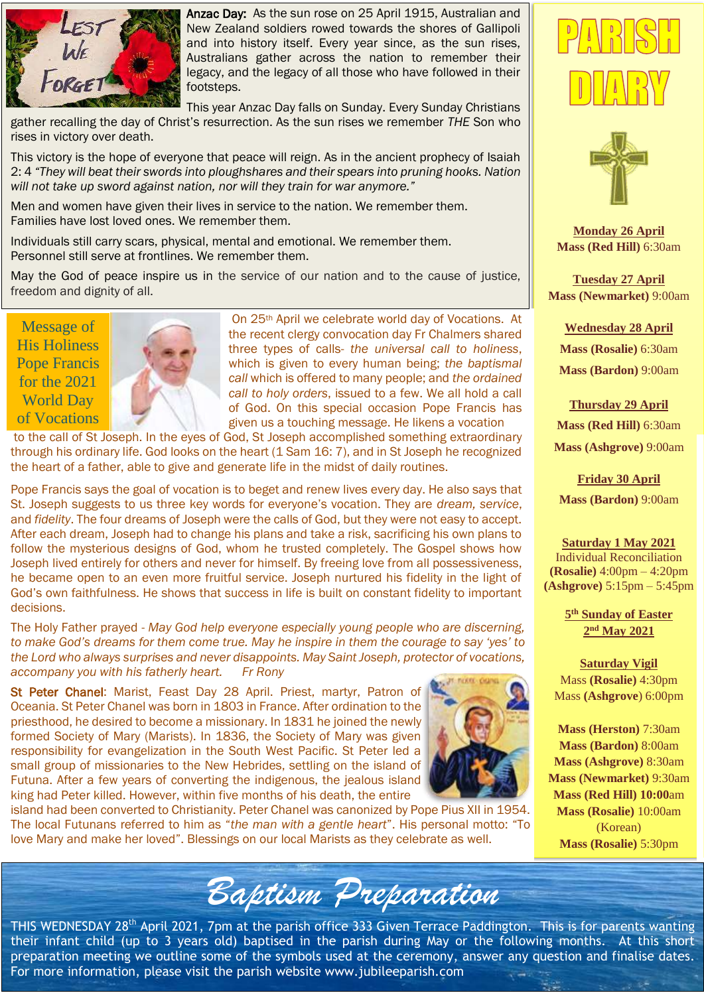

Anzac Day: As the sun rose on 25 April 1915, Australian and New Zealand soldiers rowed towards the shores of Gallipoli and into history itself. Every year since, as the sun rises, Australians gather across the nation to remember their legacy, and the legacy of all those who have followed in their footsteps.

This year Anzac Day falls on Sunday. Every Sunday Christians gather recalling the day of Christ's resurrection. As the sun rises we remember *THE* Son who rises in victory over death.

This victory is the hope of everyone that peace will reign. As in the ancient prophecy of Isaiah 2: 4 *"They will beat their swords into ploughshares and their spears into pruning hooks. Nation will not take up sword against nation, nor will they train for war anymore."*

Men and women have given their lives in service to the nation. We remember them. Families have lost loved ones. We remember them.

Individuals still carry scars, physical, mental and emotional. We remember them. Personnel still serve at frontlines. We remember them.

May the God of peace inspire us in the service of our nation and to the cause of justice, freedom and dignity of all.

Message of His Holiness Pope Francis for the 2021 World Day of Vocations



On 25th April we celebrate world day of Vocations. At the recent clergy convocation day Fr Chalmers shared three types of calls- *the universal call to holiness*, which is given to every human being; *the baptismal call* which is offered to many people; and *the ordained call to holy orders*, issued to a few. We all hold a call of God. On this special occasion Pope Francis has given us a touching message. He likens a vocation

to the call of St Joseph. In the eyes of God, St Joseph accomplished something extraordinary through his ordinary life. God looks on the heart (1 Sam 16: 7), and in St Joseph he recognized the heart of a father, able to give and generate life in the midst of daily routines.

Pope Francis says the goal of vocation is to beget and renew lives every day. He also says that St. Joseph suggests to us three key words for everyone's vocation. They are *dream, service*, and *fidelity*. The four dreams of Joseph were the calls of God, but they were not easy to accept. After each dream, Joseph had to change his plans and take a risk, sacrificing his own plans to follow the mysterious designs of God, whom he trusted completely. The Gospel shows how Joseph lived entirely for others and never for himself. By freeing love from all possessiveness, he became open to an even more fruitful service. Joseph nurtured his fidelity in the light of God's own faithfulness. He shows that success in life is built on constant fidelity to important decisions.

The Holy Father prayed - *May God help everyone especially young people who are discerning, to make God's dreams for them come true. May he inspire in them the courage to say 'yes' to the Lord who always surprises and never disappoints. May Saint Joseph, protector of vocations, accompany you with his fatherly heart. Fr Rony*

St Peter Chanel: Marist, Feast Day 28 April. Priest, martyr, Patron of Oceania. St Peter Chanel was born in 1803 in France. After ordination to the priesthood, he desired to become a missionary. In 1831 he joined the newly formed Society of Mary (Marists). In 1836, the Society of Mary was given responsibility for evangelization in the South West Pacific. St Peter led a small group of missionaries to the New Hebrides, settling on the island of Futuna. After a few years of converting the indigenous, the jealous island king had Peter killed. However, within five months of his death, the entire



island had been converted to Christianity. Peter Chanel was canonized by Pope Pius XII in 1954. The local Futunans referred to him as "*the man with a gentle heart*". His personal motto: "To love Mary and make her loved". Blessings on our local Marists as they celebrate as well.



THIS WEDNESDAY 28<sup>th</sup> April 2021, 7pm at the parish office 333 Given Terrace Paddington. This is for parents wanting their infant child (up to 3 years old) baptised in the parish during May or the following months. At this short preparation meeting we outline some of the symbols used at the ceremony, answer any question and finalise dates. For more information, please visit the parish website www.jubileeparish.com





**Monday 26 April Mass (Red Hill)** 6:30am

**Tuesday 27 April Mass (Newmarket)** 9:00am

**Wednesday 28 April Mass (Rosalie)** 6:30am

**Mass (Bardon)** 9:00am

**Thursday 29 April Mass (Red Hill)** 6:30am **Mass (Ashgrove)** 9:00am

**Friday 30 April Mass (Bardon)** 9:00am

**Saturday 1 May 2021** Individual Reconciliation **(Rosalie)** 4:00pm – 4:20pm **(Ashgrove)** 5:15pm – 5:45pm

> **5 th Sunday of Easter 2 nd May 2021**

**Saturday Vigil** Mass **(Rosalie)** 4:30pm Mass **(Ashgrove**) 6:00pm

**Mass (Herston)** 7:30am **Mass (Bardon)** 8:00am **Mass (Ashgrove)** 8:30am **Mass (Newmarket)** 9:30am **Mass (Red Hill) 10:00**am **Mass (Rosalie)** 10:00am (Korean) **Mass (Rosalie)** 5:30pm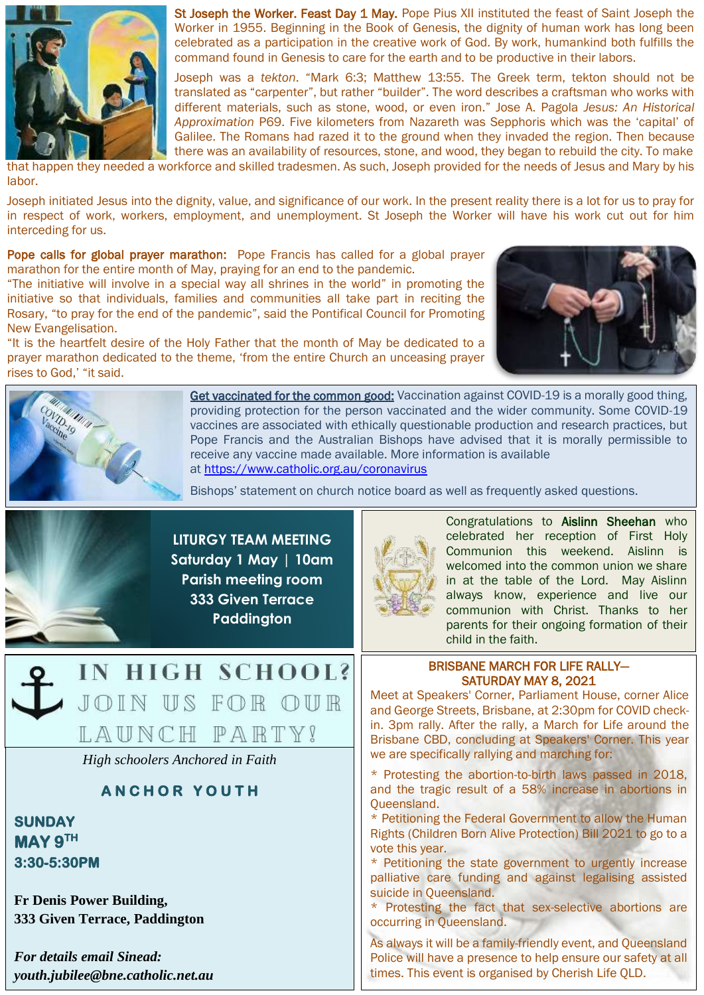

St Joseph the Worker. Feast Day 1 May. Pope Pius XII instituted the feast of Saint Joseph the Worker in 1955. Beginning in the Book of Genesis, the dignity of human work has long been celebrated as a participation in the creative work of God. By work, humankind both fulfills the command found in Genesis to care for the earth and to be productive in their labors.

Joseph was a *tekton*. "Mark 6:3; Matthew 13:55. The Greek term, tekton should not be translated as "carpenter", but rather "builder". The word describes a craftsman who works with different materials, such as stone, wood, or even iron." Jose A. Pagola *Jesus: An Historical Approximation* P69. Five kilometers from Nazareth was Sepphoris which was the 'capital' of Galilee. The Romans had razed it to the ground when they invaded the region. Then because there was an availability of resources, stone, and wood, they began to rebuild the city. To make

that happen they needed a workforce and skilled tradesmen. As such, Joseph provided for the needs of Jesus and Mary by his labor.

Joseph initiated Jesus into the dignity, value, and significance of our work. In the present reality there is a lot for us to pray for in respect of work, workers, employment, and unemployment. St Joseph the Worker will have his work cut out for him interceding for us.

Pope calls for global prayer marathon: Pope Francis has called for a global prayer marathon for the entire month of May, praying for an end to the pandemic.

"The initiative will involve in a special way all shrines in the world" in promoting the initiative so that individuals, families and communities all take part in reciting the Rosary, "to pray for the end of the pandemic", said the Pontifical Council for Promoting New Evangelisation.

"It is the heartfelt desire of the Holy Father that the month of May be dedicated to a prayer marathon dedicated to the theme, 'from the entire Church an unceasing prayer rises to God,' "it said.





Get vaccinated for the common good: Vaccination against COVID-19 is a morally good thing, providing protection for the person vaccinated and the wider community. Some COVID-19 vaccines are associated with ethically questionable production and research practices, but Pope Francis and the Australian Bishops have advised that it is morally permissible to receive any vaccine made available. More information is available at <https://www.catholic.org.au/coronavirus>

Bishops' statement on church notice board as well as frequently asked questions.





*High schoolers Anchored in Faith*

# **A N C H O R Y O U T H**

**SUNDAY MAY 9TH 3:30-5:30PM** 

**Fr Denis Power Building, 333 Given Terrace, Paddington**

*For details email Sinead: youth.jubilee@bne.catholic.net.au*



Congratulations to Aislinn Sheehan who celebrated her reception of First Holy Communion this weekend. Aislinn is welcomed into the common union we share in at the table of the Lord. May Aislinn always know, experience and live our communion with Christ. Thanks to her parents for their ongoing formation of their child in the faith.

## BRISBANE MARCH FOR LIFE RALLY— SATURDAY MAY 8, 2021

Meet at Speakers' Corner, Parliament House, corner Alice and George Streets, Brisbane, at 2:30pm for COVID checkin. 3pm rally. After the rally, a March for Life around the Brisbane CBD, concluding at Speakers' Corner. This year we are specifically rallying and marching for:

\* Protesting the abortion-to-birth laws passed in 2018, and the tragic result of a 58% increase in abortions in Queensland.

\* Petitioning the Federal Government to allow the Human Rights (Children Born Alive Protection) Bill 2021 to go to a vote this year.

\* Petitioning the state government to urgently increase palliative care funding and against legalising assisted suicide in Queensland.

\* Protesting the fact that sex-selective abortions are occurring in Queensland.

As always it will be a family-friendly event, and Queensland Police will have a presence to help ensure our safety at all times. This event is organised by Cherish Life QLD.